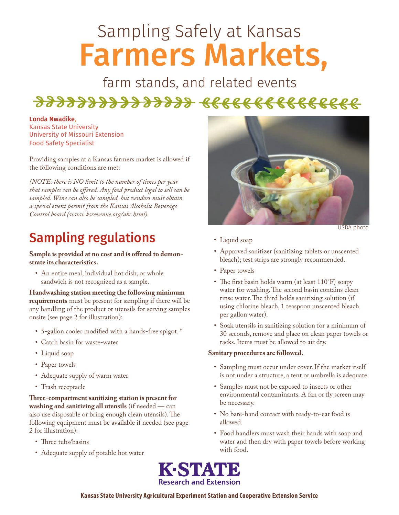# Sampling Safely at Kansas Farmers Markets,

farm stands, and related events

## 222222222222222 6666666666666666

#### Londa Nwadike,

Kansas State University University of Missouri Extension Food Safety Specialist

Providing samples at a Kansas farmers market is allowed if the following conditions are met:

*(NOTE: there is NO limit to the number of times per year that samples can be offered. Any food product legal to sell can be sampled. Wine can also be sampled, but vendors must obtain a special event permit from the Kansas Alcoholic Beverage Control board (www.ksrevenue.org/abc.html).*

## Sampling regulations

**Sample is provided at no cost and is offered to demonstrate its characteristics.**

• An entire meal, individual hot dish, or whole sandwich is not recognized as a sample.

**Handwashing station meeting the following minimum requirements** must be present for sampling if there will be any handling of the product or utensils for serving samples onsite (see page 2 for illustration):

- 5-gallon cooler modified with a hands-free spigot. \*
- Catch basin for waste-water
- Liquid soap
- Paper towels
- Adequate supply of warm water
- Trash receptacle

**Three-compartment sanitizing station is present for washing and sanitizing all utensils** (if needed — can also use disposable or bring enough clean utensils). The following equipment must be available if needed (see page 2 for illustration):

- Three tubs/basins
- Adequate supply of potable hot water



USDA photo

- Liquid soap
- Approved sanitizer (sanitizing tablets or unscented bleach); test strips are strongly recommended.
- Paper towels
- The first basin holds warm (at least 110°F) soapy water for washing. The second basin contains clean rinse water. The third holds sanitizing solution (if using chlorine bleach, 1 teaspoon unscented bleach per gallon water).
- Soak utensils in sanitizing solution for a minimum of 30 seconds, remove and place on clean paper towels or racks. Items must be allowed to air dry.

#### **Sanitary procedures are followed.**

- Sampling must occur under cover. If the market itself is not under a structure, a tent or umbrella is adequate.
- Samples must not be exposed to insects or other environmental contaminants. A fan or fly screen may be necessary.
- No bare-hand contact with ready-to-eat food is allowed.
- Food handlers must wash their hands with soap and water and then dry with paper towels before working with food.



### **Kansas State University Agricultural Experiment Station and Cooperative Extension Service**